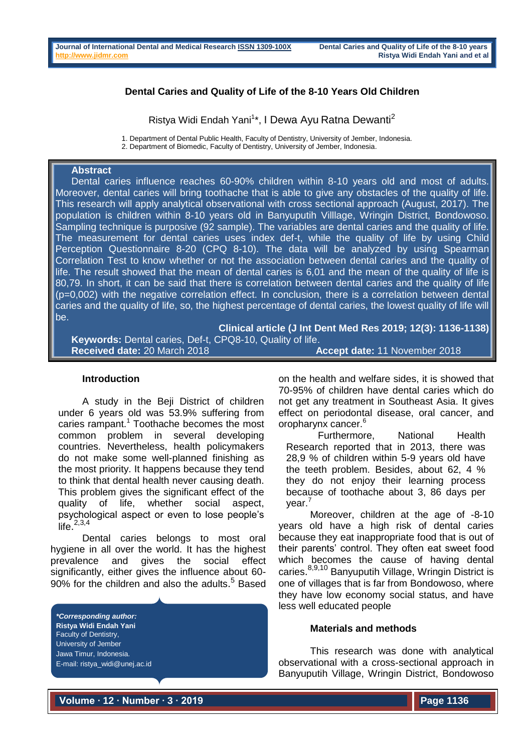# **Dental Caries and Quality of Life of the 8-10 Years Old Children**

Ristya Widi Endah Yani<sup>1\*</sup>, I Dewa Ayu Ratna Dewanti<sup>2</sup>

1. Department of Dental Public Health, Faculty of Dentistry, University of Jember, Indonesia.

# **Abstract**

Dental caries influence reaches 60-90% children within 8-10 years old and most of adults. Moreover, dental caries will bring toothache that is able to give any obstacles of the quality of life. This research will apply analytical observational with cross sectional approach (August, 2017). The population is children within 8-10 years old in Banyuputih Villlage, Wringin District, Bondowoso. Sampling technique is purposive (92 sample). The variables are dental caries and the quality of life. The measurement for dental caries uses index def-t, while the quality of life by using Child Perception Questionnaire 8-20 (CPQ 8-10). The data will be analyzed by using Spearman Correlation Test to know whether or not the association between dental caries and the quality of life. The result showed that the mean of dental caries is 6,01 and the mean of the quality of life is 80,79. In short, it can be said that there is correlation between dental caries and the quality of life (p=0,002) with the negative correlation effect. In conclusion, there is a correlation between dental caries and the quality of life, so, the highest percentage of dental caries, the lowest quality of life will be.

**Clinical article (J Int Dent Med Res 2019; 12(3): 1136-1138) Keywords:** Dental caries, Def-t, CPQ8-10, Quality of life. **Received date:** 20 March 2018 **Accept date:** 11 November 2018

### **Introduction**

A study in the Beji District of children under 6 years old was 53.9% suffering from caries rampant.<sup>1</sup> Toothache becomes the most common problem in several developing countries. Nevertheless, health policymakers do not make some well-planned finishing as the most priority. It happens because they tend to think that dental health never causing death. This problem gives the significant effect of the quality of life, whether social aspect, psychological aspect or even to lose people's  $\text{life}^{2,3,4}$ 

Dental caries belongs to most oral hygiene in all over the world. It has the highest prevalence and gives the social effect significantly, either gives the influence about 60- 90% for the children and also the adults. <sup>5</sup> Based

*\*Corresponding author:* **Ristya Widi Endah Yani** Faculty of Dentistry, University of Jember Jawa Timur, Indonesia. E-mail: ristya\_widi@unej.ac.id

on the health and welfare sides, it is showed that 70-95% of children have dental caries which do not get any treatment in Southeast Asia. It gives effect on periodontal disease, oral cancer, and oropharynx cancer.<sup>6</sup>

Furthermore, National Health Research reported that in 2013, there was 28,9 % of children within 5-9 years old have the teeth problem. Besides, about 62, 4 % they do not enjoy their learning process because of toothache about 3, 86 days per year.<sup>7</sup>

Moreover, children at the age of -8-10 years old have a high risk of dental caries because they eat inappropriate food that is out of their parents' control. They often eat sweet food which becomes the cause of having dental caries.<sup>8,9,10</sup> Banyuputih Village, Wringin District is one of villages that is far from Bondowoso, where they have low economy social status, and have less well educated people

### **Materials and methods**

This research was done with analytical observational with a cross-sectional approach in Banyuputih Village, Wringin District, Bondowoso

**Volume ∙ 12 ∙ Number ∙ 3 ∙ 2019**

<sup>2.</sup> Department of Biomedic, Faculty of Dentistry, University of Jember, Indonesia.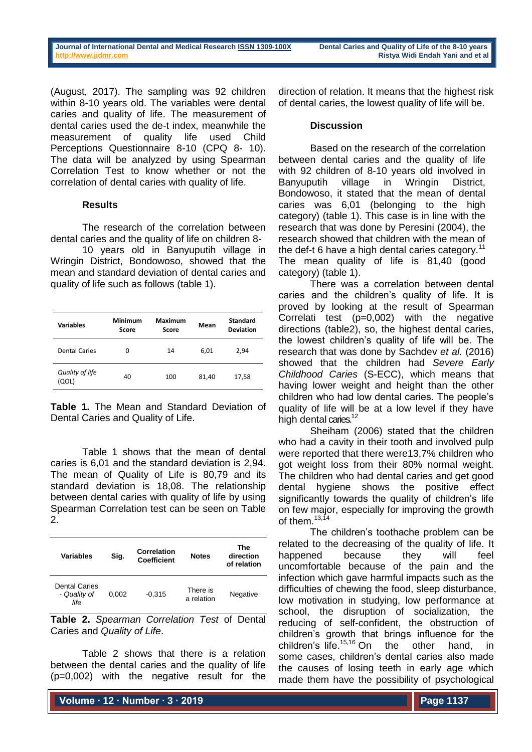(August, 2017). The sampling was 92 children within 8-10 years old. The variables were dental caries and quality of life. The measurement of dental caries used the de-t index, meanwhile the measurement of quality life used Child Perceptions Questionnaire 8-10 (CPQ 8- 10). The data will be analyzed by using Spearman Correlation Test to know whether or not the correlation of dental caries with quality of life.

## **Results**

The research of the correlation between dental caries and the quality of life on children 8-

10 years old in Banyuputih village in Wringin District, Bondowoso, showed that the mean and standard deviation of dental caries and quality of life such as follows (table 1).

| Variables                | <b>Minimum</b><br>Score | Maximum<br>Score | Mean  | <b>Standard</b><br><b>Deviation</b> |
|--------------------------|-------------------------|------------------|-------|-------------------------------------|
| <b>Dental Caries</b>     | 0                       | 14               | 6,01  | 2,94                                |
| Quality of life<br>(QOL) | 40                      | 100              | 81,40 | 17,58                               |

**Table 1.** The Mean and Standard Deviation of Dental Caries and Quality of Life.

Table 1 shows that the mean of dental caries is 6,01 and the standard deviation is 2,94. The mean of Quality of Life is 80,79 and its standard deviation is 18,08. The relationship between dental caries with quality of life by using Spearman Correlation test can be seen on Table 2.

| <b>Variables</b>                             | Sig.  | Correlation<br><b>Coefficient</b> | <b>Notes</b>           | The<br>direction<br>of relation |
|----------------------------------------------|-------|-----------------------------------|------------------------|---------------------------------|
| <b>Dental Caries</b><br>- Quality of<br>life | 0.002 | $-0.315$                          | There is<br>a relation | Negative                        |

**Table 2.** *Spearman Correlation Test* of Dental Caries and *Quality of Life*.

Table 2 shows that there is a relation between the dental caries and the quality of life (p=0,002) with the negative result for the

direction of relation. It means that the highest risk of dental caries, the lowest quality of life will be.

## **Discussion**

Based on the research of the correlation between dental caries and the quality of life with 92 children of 8-10 years old involved in Banyuputih village in Wringin District, Bondowoso, it stated that the mean of dental caries was 6,01 (belonging to the high category) (table 1). This case is in line with the research that was done by Peresini (2004), the research showed that children with the mean of the def-t 6 have a high dental caries category. $11$ The mean quality of life is 81,40 (good category) (table 1).

There was a correlation between dental caries and the children's quality of life. It is proved by looking at the result of Spearman Correlati test (p=0,002) with the negative directions (table2), so, the highest dental caries, the lowest children's quality of life will be. The research that was done by Sachdev *et al.* (2016) showed that the children had *Severe Early Childhood Caries* (S-ECC), which means that having lower weight and height than the other children who had low dental caries. The people's quality of life will be at a low level if they have high dental caries.<sup>12</sup>

Sheiham (2006) stated that the children who had a cavity in their tooth and involved pulp were reported that there were13,7% children who got weight loss from their 80% normal weight. The children who had dental caries and get good dental hygiene shows the positive effect significantly towards the quality of children's life on few major, especially for improving the growth of them.  $13,14$ 

The children's toothache problem can be related to the decreasing of the quality of life. It happened because they will feel uncomfortable because of the pain and the infection which gave harmful impacts such as the difficulties of chewing the food, sleep disturbance, low motivation in studying, low performance at school, the disruption of socialization, the reducing of self-confident, the obstruction of children's growth that brings influence for the children's life. 15,16 On the other hand, in some cases, children's dental caries also made the causes of losing teeth in early age which made them have the possibility of psychological

**Volume ∙ 12 ∙ Number ∙ 3 ∙ 2019**